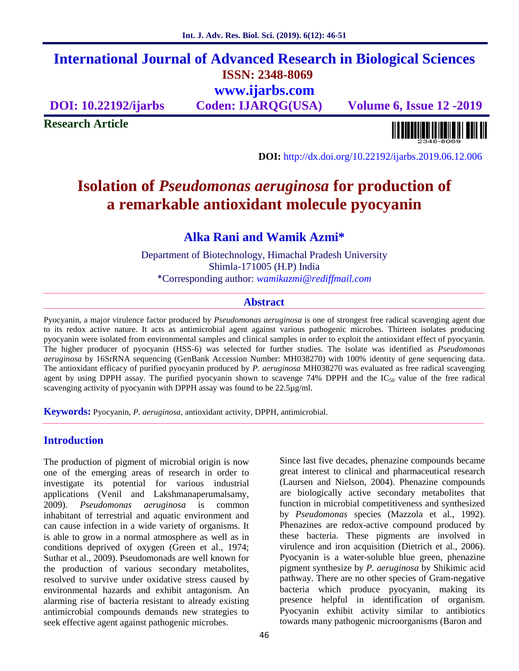# **International Journal of Advanced Research in Biological Sciences ISSN: 2348-8069 www.ijarbs.com**

**DOI: 10.22192/ijarbs Coden: IJARQG(USA) Volume 6, Issue 12 -2019**

**Research Article**

**DOI:** http://dx.doi.org/10.22192/ijarbs.2019.06.12.006

# **Isolation of** *Pseudomonas aeruginosa* **for production of a remarkable antioxidant molecule pyocyanin**

# **Alka Rani and Wamik Azmi\***

Department of Biotechnology, Himachal Pradesh University Shimla-171005 (H.P) India \*Corresponding author: *wamikazmi@rediffmail.com*

## **Abstract**

Pyocyanin, a major virulence factor produced by *Pseudomonas aeruginosa* is one of strongest free radical scavenging agent due to its redox active nature. It acts as antimicrobial agent against various pathogenic microbes. Thirteen isolates producing pyocyanin were isolated from environmental samples and clinical samples in order to exploit the antioxidant effect of pyocyanin. The higher producer of pyocyanin (HSS-6) was selected for further studies. The isolate was identified as *Pseudomonas aeruginosa* by 16SrRNA sequencing (GenBank Accession Number: MH038270) with 100% identity of gene sequencing data. The antioxidant efficacy of purified pyocyanin produced by *P. aeruginosa* MH038270 was evaluated as free radical scavenging agent by using DPPH assay. The purified pyocyanin shown to scavenge 74% DPPH and the  $IC_{50}$  value of the free radical scavenging activity of pyocyanin with DPPH assay was found to be 22.5µg/ml.

**Keywords:** Pyocyanin, *P. aeruginosa*, antioxidant activity, DPPH, antimicrobial.

### **Introduction**

The production of pigment of microbial origin is now one of the emerging areas of research in order to investigate its potential for various industrial applications (Venil and Lakshmanaperumalsamy, 2009). *Pseudomonas aeruginosa* is common inhabitant of terrestrial and aquatic environment and can cause infection in a wide variety of organisms. It is able to grow in a normal atmosphere as well as in conditions deprived of oxygen (Green et al., 1974; Suthar et al., 2009). Pseudomonads are well known for the production of various secondary metabolites, resolved to survive under oxidative stress caused by environmental hazards and exhibit antagonism. An alarming rise of bacteria resistant to already existing antimicrobial compounds demands new strategies to seek effective agent against pathogenic microbes.

Since last five decades, phenazine compounds became great interest to clinical and pharmaceutical research (Laursen and Nielson, 2004). Phenazine compounds are biologically active secondary metabolites that function in microbial competitiveness and synthesized by *Pseudomonas* species (Mazzola et al., 1992). Phenazines are redox-active compound produced by these bacteria. These pigments are involved in virulence and iron acquisition (Dietrich et al., 2006). Pyocyanin is a water-soluble blue green, phenazine pigment synthesize by *P. aeruginosa* by Shikimic acid pathway. There are no other species of Gram-negative bacteria which produce pyocyanin, making its presence helpful in identification of organism. Pyocyanin exhibit activity similar to antibiotics towards many pathogenic microorganisms (Baron and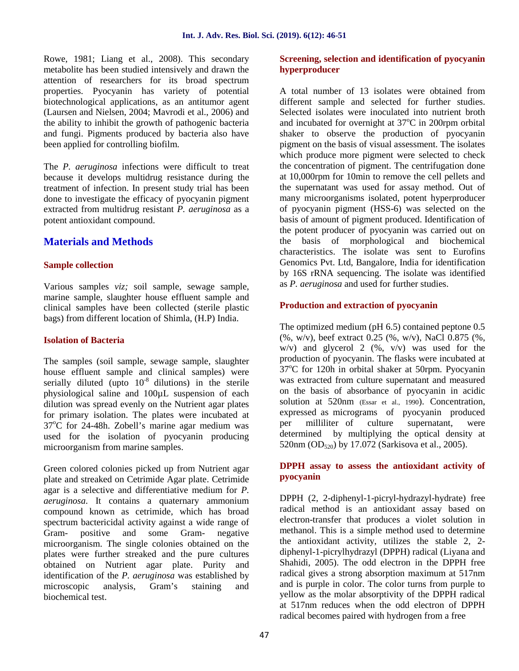Rowe, 1981; Liang et al., 2008). This secondary metabolite has been studied intensively and drawn the attention of researchers for its broad spectrum properties. Pyocyanin has variety of potential biotechnological applications, as an antitumor agent (Laursen and Nielsen, 2004; Mavrodi et al., 2006) and the ability to inhibit the growth of pathogenic bacteria and fungi. Pigments produced by bacteria also have been applied for controlling biofilm.

The *P. aeruginosa* infections were difficult to treat because it develops multidrug resistance during the treatment of infection. In present study trial has been done to investigate the efficacy of pyocyanin pigment extracted from multidrug resistant *P. aeruginosa* as a potent antioxidant compound.

## **Materials and Methods**

#### **Sample collection**

Various samples *viz;* soil sample, sewage sample, marine sample, slaughter house effluent sample and clinical samples have been collected (sterile plastic bags) from different location of Shimla, (H.P) India.

#### **Isolation of Bacteria**

The samples (soil sample, sewage sample, slaughter house effluent sample and clinical samples) were serially diluted (upto  $10^{-8}$  dilutions) in the sterile physiological saline and 100µL suspension of each dilution was spread evenly on the Nutrient agar plates for primary isolation. The plates were incubated at  $37^{\circ}$ C for 24-48h. Zobell's marine agar medium was used for the isolation of pyocyanin producing microorganism from marine samples.

Green colored colonies picked up from Nutrient agar plate and streaked on Cetrimide Agar plate. Cetrimide agar is a selective and differentiative medium for *P. aeruginosa*. It contains a quaternary ammonium compound known as cetrimide, which has broad spectrum bactericidal activity against a wide range of Gram- positive and some Gram- negative microorganism. The single colonies obtained on the plates were further streaked and the pure cultures obtained on Nutrient agar plate. Purity and identification of the *P. aeruginosa* was established by microscopic analysis, Gram's staining and biochemical test.

#### **Screening, selection and identification of pyocyanin hyperproducer**

A total number of 13 isolates were obtained from different sample and selected for further studies. Selected isolates were inoculated into nutrient broth and incubated for overnight at  $37^{\circ}$ C in 200rpm orbital shaker to observe the production of pyocyanin pigment on the basis of visual assessment. The isolates which produce more pigment were selected to check the concentration of pigment. The centrifugation done at 10,000rpm for 10min to remove the cell pellets and the supernatant was used for assay method. Out of many microorganisms isolated, potent hyperproducer of pyocyanin pigment (HSS-6) was selected on the basis of amount of pigment produced. Identification of the potent producer of pyocyanin was carried out on the basis of morphological and biochemical characteristics. The isolate was sent to Eurofins Genomics Pvt. Ltd, Bangalore, India for identification by 16S rRNA sequencing. The isolate was identified as *P. aeruginosa* and used for further studies.

### **Production and extraction of pyocyanin**

The optimized medium (pH 6.5) contained peptone 0.5 (%, w/v), beef extract 0.25 (%, w/v), NaCl 0.875 (%,  $w/v$ ) and glycerol 2 (%,  $v/v$ ) was used for the production of pyocyanin. The flasks were incubated at  $37^{\circ}$ C for 120h in orbital shaker at 50rpm. Pyocyanin was extracted from culture supernatant and measured on the basis of absorbance of pyocyanin in acidic solution at 520nm (Essar et al., 1990). Concentration, expressed as micrograms of pyocyanin produced per milliliter of culture supernatant, were determined by multiplying the optical density at 520nm (OD $_{520}$ ) by 17.072 (Sarkisova et al., 2005).

#### **DPPH assay to assess the antioxidant activity of pyocyanin**

DPPH (2, 2-diphenyl-1-picryl-hydrazyl-hydrate) free radical method is an antioxidant assay based on electron-transfer that produces a violet solution in methanol. This is a simple method used to determine the antioxidant activity, utilizes the stable 2, 2 diphenyl-1-picrylhydrazyl (DPPH) radical (Liyana and Shahidi, 2005). The odd electron in the DPPH free radical gives a strong absorption maximum at 517nm and is purple in color. The color turns from purple to yellow as the molar absorptivity of the DPPH radical at 517nm reduces when the odd electron of DPPH radical becomes paired with hydrogen from a free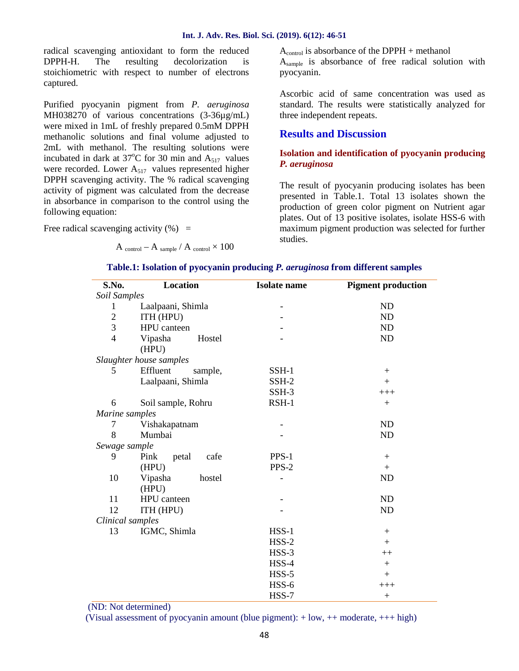radical scavenging antioxidant to form the reduced DPPH-H. The resulting decolorization is stoichiometric with respect to number of electrons captured.

Purified pyocyanin pigment from *P. aeruginosa* MH038270 of various concentrations (3-36µg/mL) were mixed in 1mL of freshly prepared 0.5mM DPPH methanolic solutions and final volume adjusted to 2mL with methanol. The resulting solutions were incubated in dark at  $37^{\circ}$ C for 30 min and  $A_{517}$  values were recorded. Lower  $A_{517}$  values represented higher DPPH scavenging activity. The % radical scavenging activity of pigment was calculated from the decrease in absorbance in comparison to the control using the following equation:

Free radical scavenging activity  $(\%)$  =

A control – A sample / A control  $\times$  100

 $A_{control}$  is absorbance of the DPPH + methanol Asample is absorbance of free radical solution with pyocyanin.

Ascorbic acid of same concentration was used as standard. The results were statistically analyzed for three independent repeats.

#### **Results and Discussion**

#### **Isolation and identification of pyocyanin producing** *P. aeruginosa*

The result of pyocyanin producing isolates has been presented in Table.1. Total 13 isolates shown the production of green color pigment on Nutrient agar plates. Out of 13 positive isolates, isolate HSS-6 with maximum pigment production was selected for further studies.

| S.No.            | Location                | <b>Isolate</b> name | <b>Pigment production</b> |
|------------------|-------------------------|---------------------|---------------------------|
| Soil Samples     |                         |                     |                           |
| 1                | Laalpaani, Shimla       |                     | ND                        |
| $\overline{c}$   | ITH (HPU)               |                     | ND                        |
| 3                | HPU canteen             |                     | ND                        |
| $\overline{4}$   | Hostel<br>Vipasha       |                     | ND                        |
|                  | (HPU)                   |                     |                           |
|                  | Slaughter house samples |                     |                           |
| 5                | Effluent<br>sample,     | SSH-1               | $+$                       |
|                  | Laalpaani, Shimla       | SSH-2               | $+$                       |
|                  |                         | SSH-3               | $+++$                     |
| 6                | Soil sample, Rohru      | $RSH-1$             | $\boldsymbol{+}$          |
| Marine samples   |                         |                     |                           |
| $\tau$           | Vishakapatnam           |                     | ND                        |
| 8                | Mumbai                  |                     | ND                        |
| Sewage sample    |                         |                     |                           |
| 9                | Pink<br>cafe<br>petal   | $PPS-1$             | $+$                       |
|                  | (HPU)                   | PPS-2               | $+$                       |
| 10               | Vipasha<br>hostel       |                     | ND                        |
|                  | (HPU)                   |                     |                           |
| 11               | HPU canteen             |                     | ND                        |
| 12               | ITH (HPU)               |                     | ND                        |
| Clinical samples |                         |                     |                           |
| 13               | IGMC, Shimla            | $HSS-1$             | $+$                       |
|                  |                         | $HSS-2$             | $+$                       |
|                  |                         | $HSS-3$             | $++$                      |
|                  |                         | HSS-4               | $+$                       |
|                  |                         | $HSS-5$             | $+$                       |
|                  |                         | HSS-6               | $+++$                     |
|                  |                         | HSS-7               | $+$                       |

#### **Table.1: Isolation of pyocyanin producing** *P. aeruginosa* **from different samples**

(ND: Not determined)

(Visual assessment of pyocyanin amount (blue pigment): + low, ++ moderate, +++ high)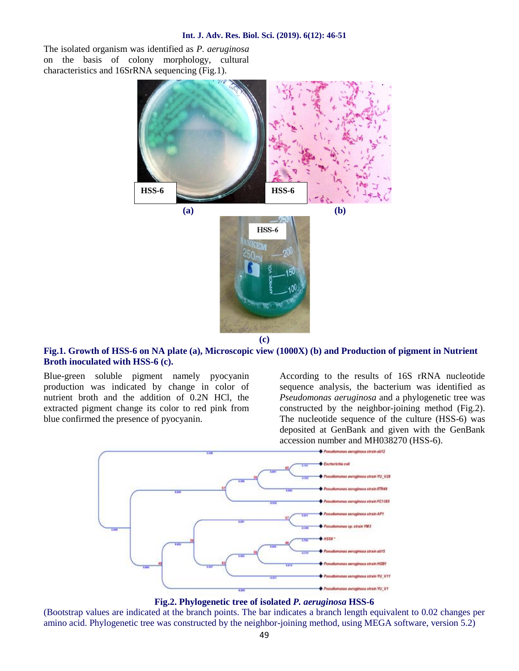The isolated organism was identified as *P. aeruginosa* on the basis of colony morphology, cultural characteristics and 16SrRNA sequencing (Fig.1).



#### **Fig.1. Growth of HSS-6 on NA plate (a), Microscopic view (1000X) (b) and Production of pigment in Nutrient Broth inoculated with HSS-6 (c).**

Blue-green soluble pigment namely pyocyanin production was indicated by change in color of nutrient broth and the addition of 0.2N HCl, the extracted pigment change its color to red pink from blue confirmed the presence of pyocyanin.

According to the results of 16S rRNA nucleotide sequence analysis, the bacterium was identified as *Pseudomonas aeruginosa* and a phylogenetic tree was constructed by the neighbor-joining method (Fig.2). The nucleotide sequence of the culture (HSS-6) was deposited at GenBank and given with the GenBank accession number and MH038270 (HSS-6).



**Fig.2. Phylogenetic tree of isolated** *P. aeruginosa* **HSS-6**

(Bootstrap values are indicated at the branch points. The bar indicates a branch length equivalent to 0.02 changes per amino acid. Phylogenetic tree was constructed by the neighbor-joining method, using MEGA software, version 5.2)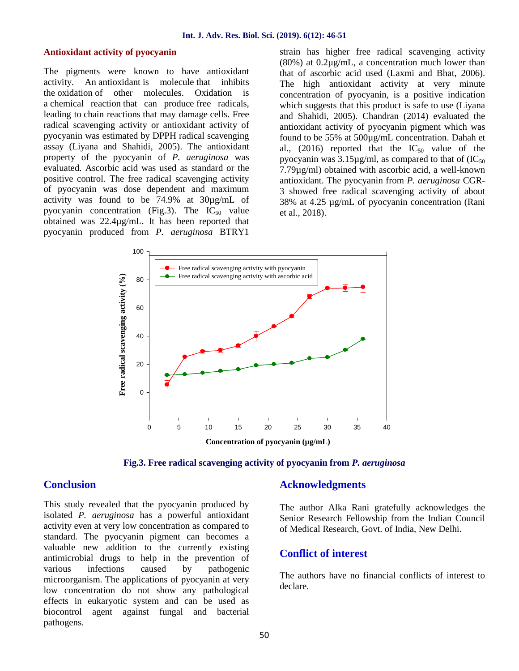#### **Antioxidant activity of pyocyanin**

The pigments were known to have antioxidant activity. An antioxidant is molecule that inhibits the oxidation of other molecules. Oxidation is a chemical reaction that can produce free radicals, leading to chain reactions that may damage cells. Free radical scavenging activity or antioxidant activity of pyocyanin was estimated by DPPH radical scavenging assay (Liyana and Shahidi, 2005). The antioxidant property of the pyocyanin of *P. aeruginosa* was evaluated. Ascorbic acid was used as standard or the positive control. The free radical scavenging activity of pyocyanin was dose dependent and maximum activity was found to be 74.9% at 30µg/mL of pyocyanin concentration (Fig.3). The  $IC_{50}$  value obtained was 22.4µg/mL. It has been reported that pyocyanin produced from *P. aeruginosa* BTRY1

strain has higher free radical scavenging activity (80%) at 0.2µg/mL, a concentration much lower than that of ascorbic acid used (Laxmi and Bhat, 2006). The high antioxidant activity at very minute concentration of pyocyanin, is a positive indication which suggests that this product is safe to use (Liyana and Shahidi, 2005). Chandran (2014) evaluated the antioxidant activity of pyocyanin pigment which was found to be 55% at 500µg/mL concentration. Dahah et al., (2016) reported that the  $IC_{50}$  value of the pyocyanin was  $3.15\mu g/ml$ , as compared to that of  $(IC_{50})$ 7.79µg/ml) obtained with ascorbic acid, a well-known antioxidant. The pyocyanin from *P. aeruginosa* CGR- 3 showed free radical scavenging activity of about 38% at 4.25 µg/mL of pyocyanin concentration (Rani et al., 2018).



**Fig.3. Free radical scavenging activity of pyocyanin from** *P. aeruginosa*

### **Conclusion**

This study revealed that the pyocyanin produced by isolated *P. aeruginosa* has a powerful antioxidant activity even at very low concentration as compared to standard. The pyocyanin pigment can becomes a valuable new addition to the currently existing antimicrobial drugs to help in the prevention of various infections caused by pathogenic microorganism. The applications of pyocyanin at very low concentration do not show any pathological effects in eukaryotic system and can be used as biocontrol agent against fungal and bacterial pathogens.

#### **Acknowledgments**

The author Alka Rani gratefully acknowledges the Senior Research Fellowship from the Indian Council of Medical Research, Govt. of India, New Delhi.

#### **Conflict of interest**

The authors have no financial conflicts of interest to declare.